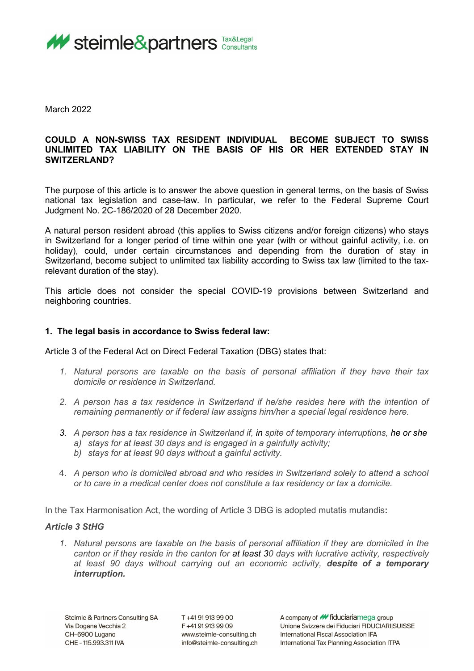

March 2022

## **COULD A NON-SWISS TAX RESIDENT INDIVIDUAL BECOME SUBJECT TO SWISS UNLIMITED TAX LIABILITY ON THE BASIS OF HIS OR HER EXTENDED STAY IN SWITZERLAND?**

The purpose of this article is to answer the above question in general terms, on the basis of Swiss national tax legislation and case-law. In particular, we refer to the Federal Supreme Court Judgment No. 2C-186/2020 of 28 December 2020.

A natural person resident abroad (this applies to Swiss citizens and/or foreign citizens) who stays in Switzerland for a longer period of time within one year (with or without gainful activity, i.e. on holiday), could, under certain circumstances and depending from the duration of stay in Switzerland, become subject to unlimited tax liability according to Swiss tax law (limited to the taxrelevant duration of the stay).

This article does not consider the special COVID-19 provisions between Switzerland and neighboring countries.

### **1. The legal basis in accordance to Swiss federal law:**

Article 3 of the Federal Act on Direct Federal Taxation (DBG) states that:

- *1. Natural persons are taxable on the basis of personal affiliation if they have their tax domicile or residence in Switzerland.*
- *2. A person has a tax residence in Switzerland if he/she resides here with the intention of remaining permanently or if federal law assigns him/her a special legal residence here.*
- *3. A person has a tax residence in Switzerland if, in spite of temporary interruptions, he or she a) stays for at least 30 days and is engaged in a gainfully activity;*
	- *b) stays for at least 90 days without a gainful activity.*
- 4. *A person who is domiciled abroad and who resides in Switzerland solely to attend a school or to care in a medical center does not constitute a tax residency or tax a domicile.*

In the Tax Harmonisation Act, the wording of Article 3 DBG is adopted mutatis mutandis**:** 

#### *Article 3 StHG*

*1. Natural persons are taxable on the basis of personal affiliation if they are domiciled in the canton or if they reside in the canton for at least 30 days with lucrative activity, respectively at least 90 days without carrying out an economic activity, despite of a temporary interruption.*

T+41919139900 F+41919139909 www.steimle-consulting.ch info@steimle-consulting.ch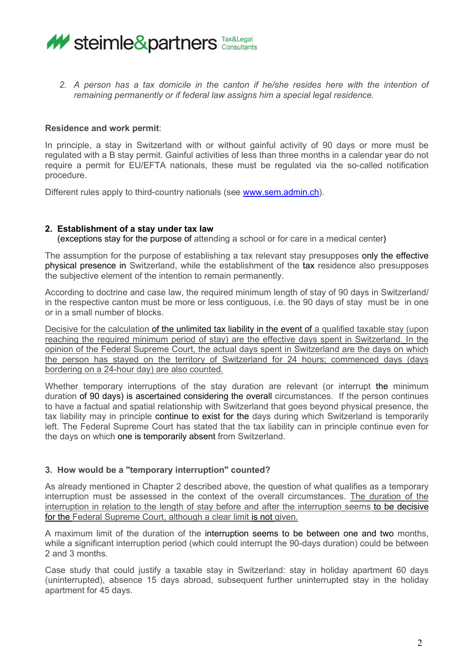

*2. A person has a tax domicile in the canton if he/she resides here with the intention of remaining permanently or if federal law assigns him a special legal residence.*

## **Residence and work permit**:

In principle, a stay in Switzerland with or without gainful activity of 90 days or more must be regulated with a B stay permit. Gainful activities of less than three months in a calendar year do not require a permit for EU/EFTA nationals, these must be regulated via the so-called notification procedure.

Different rules apply to third-country nationals (see [www.sem.admin.ch\)](http://www.sem.admin.ch/).

### **2. Establishment of a stay under tax law**

 **(**exceptions stay for the purpose of attending a school or for care in a medical center**)**

The assumption for the purpose of establishing a tax relevant stay presupposes only the effective physical presence in Switzerland, while the establishment of the tax residence also presupposes the subjective element of the intention to remain permanently.

According to doctrine and case law, the required minimum length of stay of 90 days in Switzerland/ in the respective canton must be more or less contiguous, i.e. the 90 days of stay must be in one or in a small number of blocks.

Decisive for the calculation of the unlimited tax liability in the event of a qualified taxable stay (upon reaching the required minimum period of stay) are the effective days spent in Switzerland. In the opinion of the Federal Supreme Court, the actual days spent in Switzerland are the days on which the person has stayed on the territory of Switzerland for 24 hours; commenced days (days bordering on a 24-hour day) are also counted.

Whether temporary interruptions of the stay duration are relevant (or interrupt the minimum duration of 90 days) is ascertained considering the overall circumstances. If the person continues to have a factual and spatial relationship with Switzerland that goes beyond physical presence, the tax liability may in principle continue to exist for the days during which Switzerland is temporarily left. The Federal Supreme Court has stated that the tax liability can in principle continue even for the days on which one is temporarily absent from Switzerland.

# **3. How would be a "temporary interruption" counted?**

As already mentioned in Chapter 2 described above, the question of what qualifies as a temporary interruption must be assessed in the context of the overall circumstances. The duration of the interruption in relation to the length of stay before and after the interruption seems to be decisive for the Federal Supreme Court, although a clear limit is not given.

A maximum limit of the duration of the interruption seems to be between one and two months, while a significant interruption period (which could interrupt the 90-days duration) could be between 2 and 3 months.

Case study that could justify a taxable stay in Switzerland: stay in holiday apartment 60 days (uninterrupted), absence 15 days abroad, subsequent further uninterrupted stay in the holiday apartment for 45 days.